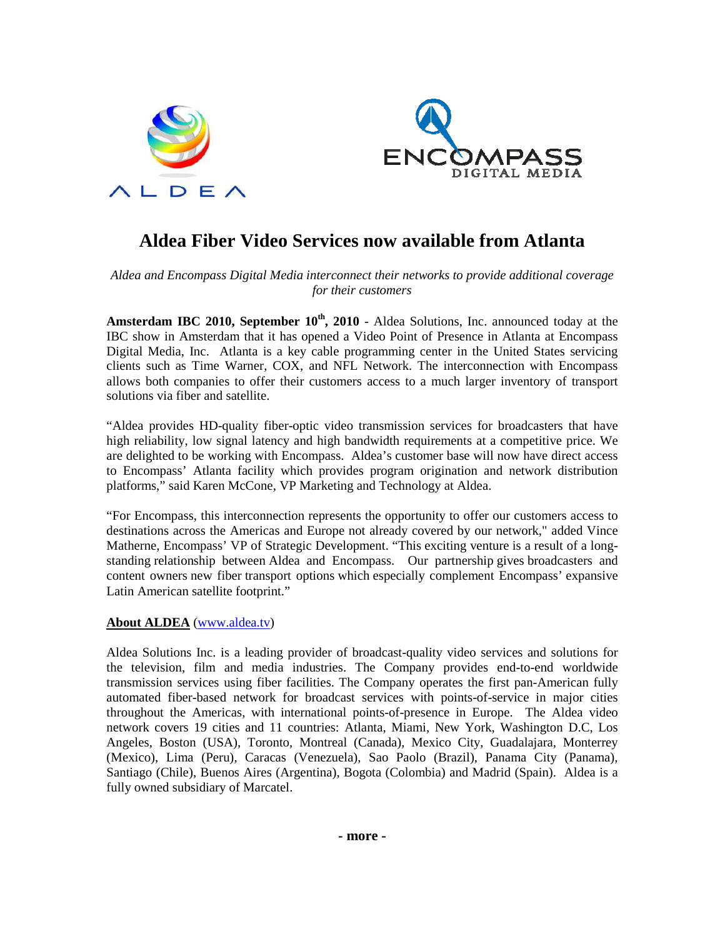



# **Aldea Fiber Video Services now available from Atlanta**

## *Aldea and Encompass Digital Media interconnect their networks to provide additional coverage for their customers*

**Amsterdam IBC 2010, September 10th, 2010** - Aldea Solutions, Inc. announced today at the IBC show in Amsterdam that it has opened a Video Point of Presence in Atlanta at Encompass Digital Media, Inc. Atlanta is a key cable programming center in the United States servicing clients such as Time Warner, COX, and NFL Network. The interconnection with Encompass allows both companies to offer their customers access to a much larger inventory of transport solutions via fiber and satellite.

"Aldea provides HD-quality fiber-optic video transmission services for broadcasters that have high reliability, low signal latency and high bandwidth requirements at a competitive price. We are delighted to be working with Encompass. Aldea's customer base will now have direct access to Encompass' Atlanta facility which provides program origination and network distribution platforms," said Karen McCone, VP Marketing and Technology at Aldea.

"For Encompass, this interconnection represents the opportunity to offer our customers access to destinations across the Americas and Europe not already covered by our network," added Vince Matherne, Encompass' VP of Strategic Development. "This exciting venture is a result of a longstanding relationship between Aldea and Encompass. Our partnership gives broadcasters and content owners new fiber transport options which especially complement Encompass' expansive Latin American satellite footprint."

## **About ALDEA** (www.aldea.tv)

Aldea Solutions Inc. is a leading provider of broadcast-quality video services and solutions for the television, film and media industries. The Company provides end-to-end worldwide transmission services using fiber facilities. The Company operates the first pan-American fully automated fiber-based network for broadcast services with points-of-service in major cities throughout the Americas, with international points-of-presence in Europe. The Aldea video network covers 19 cities and 11 countries: Atlanta, Miami, New York, Washington D.C, Los Angeles, Boston (USA), Toronto, Montreal (Canada), Mexico City, Guadalajara, Monterrey (Mexico), Lima (Peru), Caracas (Venezuela), Sao Paolo (Brazil), Panama City (Panama), Santiago (Chile), Buenos Aires (Argentina), Bogota (Colombia) and Madrid (Spain). Aldea is a fully owned subsidiary of Marcatel.